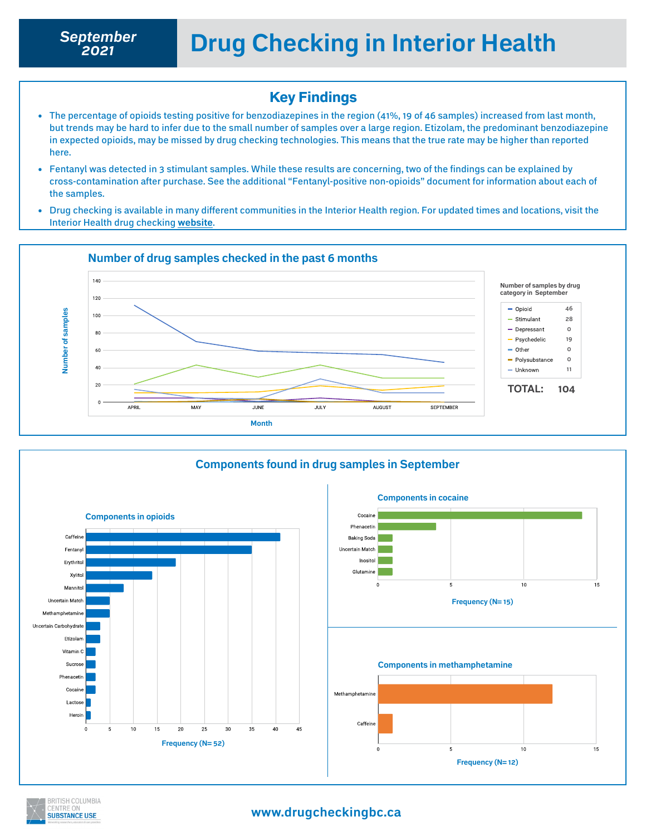*2021*

### Key Findings

- The percentage of opioids testing positive for benzodiazepines in the region (41%, 19 of 46 samples) increased from last month, but trends may be hard to infer due to the small number of samples over a large region. Etizolam, the predominant benzodiazepine in expected opioids, may be missed by drug checking technologies. This means that the true rate may be higher than reported here.
- Fentanyl was detected in 3 stimulant samples. While these results are concerning, two of the findings can be explained by cross-contamination after purchase. See the additional "Fentanyl-positive non-opioids" document for information about each of the samples.
- Drug checking is available in many different communities in the Interior Health region. For updated times and locations, visit the Interior Health drug checking **[website](https://drugchecking.ca/)**.





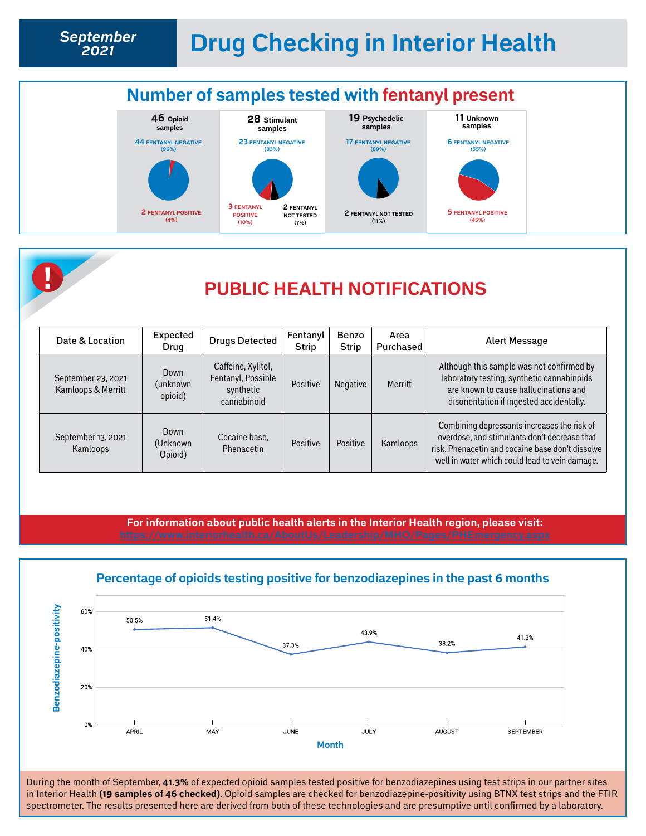





## **! PUBLIC HEALTH NOTIFICATIONS**

| Date & Location                          | Expected<br>Drug             | <b>Drugs Detected</b>                                                | Fentanyl<br><b>Strip</b> | Benzo<br>Strip  | Area<br>Purchased | <b>Alert Message</b>                                                                                                                                                                              |
|------------------------------------------|------------------------------|----------------------------------------------------------------------|--------------------------|-----------------|-------------------|---------------------------------------------------------------------------------------------------------------------------------------------------------------------------------------------------|
| September 23, 2021<br>Kamloops & Merritt | Down<br>(unknown<br>opioid)  | Caffeine, Xylitol,<br>Fentanyl, Possible<br>synthetic<br>cannabinoid | Positive                 | <b>Negative</b> | Merritt           | Although this sample was not confirmed by<br>laboratory testing, synthetic cannabinoids<br>are known to cause hallucinations and<br>disorientation if ingested accidentally.                      |
| September 13, 2021<br>Kamloops           | Down<br>(Unknown)<br>Opioid) | Cocaine base,<br>Phenacetin                                          | Positive                 | Positive        | Kamloops          | Combining depressants increases the risk of<br>overdose, and stimulants don't decrease that<br>risk. Phenacetin and cocaine base don't dissolve<br>well in water which could lead to vein damage. |

**For information about public health alerts in the Interior Health region, please visit:** 



#### During the month of September, **41.3%** of expected opioid samples tested positive for benzodiazepines using test strips in our partner sites in Interior Health **(19 samples of 46 checked)**. Opioid samples are checked for benzodiazepine-positivity using BTNX test strips and the FTIR spectrometer. The results presented here are derived from both of these technologies and are presumptive until confirmed by a laboratory.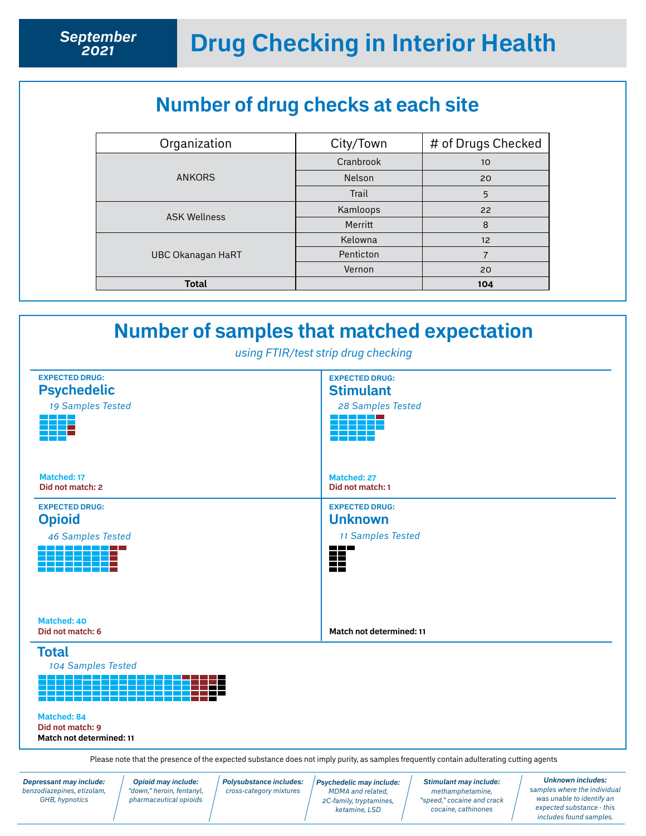## **Number of drug checks at each site**

| Organization             | City/Town | # of Drugs Checked |
|--------------------------|-----------|--------------------|
|                          | Cranbrook | 10                 |
| <b>ANKORS</b>            | Nelson    | 20                 |
|                          | Trail     | 5                  |
| <b>ASK Wellness</b>      | Kamloops  | 22                 |
|                          | Merritt   | 8                  |
|                          | Kelowna   | 12                 |
| <b>UBC Okanagan HaRT</b> | Penticton | 7                  |
|                          | Vernon    | 20                 |
| <b>Total</b>             |           | 104                |



*Depressant may include: benzodiazepines, etizolam, GHB, hypnotics*

*Opioid may include: "down," heroin, fentanyl, pharmaceutical opioids* *Polysubstance includes: cross-category mixtures*

*Psychedelic may include: MDMA and related, 2C-family, tryptamines, ketamine, LSD* 

*Stimulant may include: methamphetamine, "speed," cocaine and crack cocaine, cathinones*

*Unknown includes: samples where the individual was unable to identify an expected substance - this includes found samples.*